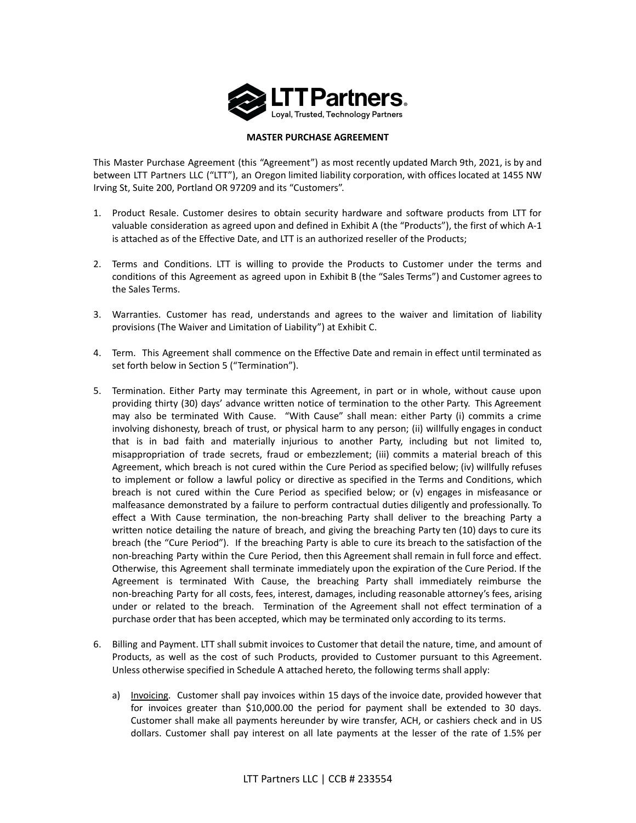

# **MASTER PURCHASE AGREEMENT**

This Master Purchase Agreement (this "Agreement") as most recently updated March 9th, 2021, is by and between LTT Partners LLC ("LTT"), an Oregon limited liability corporation, with offices located at 1455 NW Irving St, Suite 200, Portland OR 97209 and its "Customers".

- 1. Product Resale. Customer desires to obtain security hardware and software products from LTT for valuable consideration as agreed upon and defined in Exhibit A (the "Products"), the first of which A-1 is attached as of the Effective Date, and LTT is an authorized reseller of the Products;
- 2. Terms and Conditions. LTT is willing to provide the Products to Customer under the terms and conditions of this Agreement as agreed upon in Exhibit B (the "Sales Terms") and Customer agrees to the Sales Terms.
- 3. Warranties. Customer has read, understands and agrees to the waiver and limitation of liability provisions (The Waiver and Limitation of Liability") at Exhibit C.
- 4. Term. This Agreement shall commence on the Effective Date and remain in effect until terminated as set forth below in Section 5 ("Termination").
- 5. Termination. Either Party may terminate this Agreement, in part or in whole, without cause upon providing thirty (30) days' advance written notice of termination to the other Party. This Agreement may also be terminated With Cause. "With Cause" shall mean: either Party (i) commits a crime involving dishonesty, breach of trust, or physical harm to any person; (ii) willfully engages in conduct that is in bad faith and materially injurious to another Party, including but not limited to, misappropriation of trade secrets, fraud or embezzlement; (iii) commits a material breach of this Agreement, which breach is not cured within the Cure Period as specified below; (iv) willfully refuses to implement or follow a lawful policy or directive as specified in the Terms and Conditions, which breach is not cured within the Cure Period as specified below; or (v) engages in misfeasance or malfeasance demonstrated by a failure to perform contractual duties diligently and professionally. To effect a With Cause termination, the non-breaching Party shall deliver to the breaching Party a written notice detailing the nature of breach, and giving the breaching Party ten (10) days to cure its breach (the "Cure Period"). If the breaching Party is able to cure its breach to the satisfaction of the non-breaching Party within the Cure Period, then this Agreement shall remain in full force and effect. Otherwise, this Agreement shall terminate immediately upon the expiration of the Cure Period. If the Agreement is terminated With Cause, the breaching Party shall immediately reimburse the non-breaching Party for all costs, fees, interest, damages, including reasonable attorney's fees, arising under or related to the breach. Termination of the Agreement shall not effect termination of a purchase order that has been accepted, which may be terminated only according to its terms.
- 6. Billing and Payment. LTT shall submit invoices to Customer that detail the nature, time, and amount of Products, as well as the cost of such Products, provided to Customer pursuant to this Agreement. Unless otherwise specified in Schedule A attached hereto, the following terms shall apply:
	- a) Invoicing. Customer shall pay invoices within 15 days of the invoice date, provided however that for invoices greater than \$10,000.00 the period for payment shall be extended to 30 days. Customer shall make all payments hereunder by wire transfer, ACH, or cashiers check and in US dollars. Customer shall pay interest on all late payments at the lesser of the rate of 1.5% per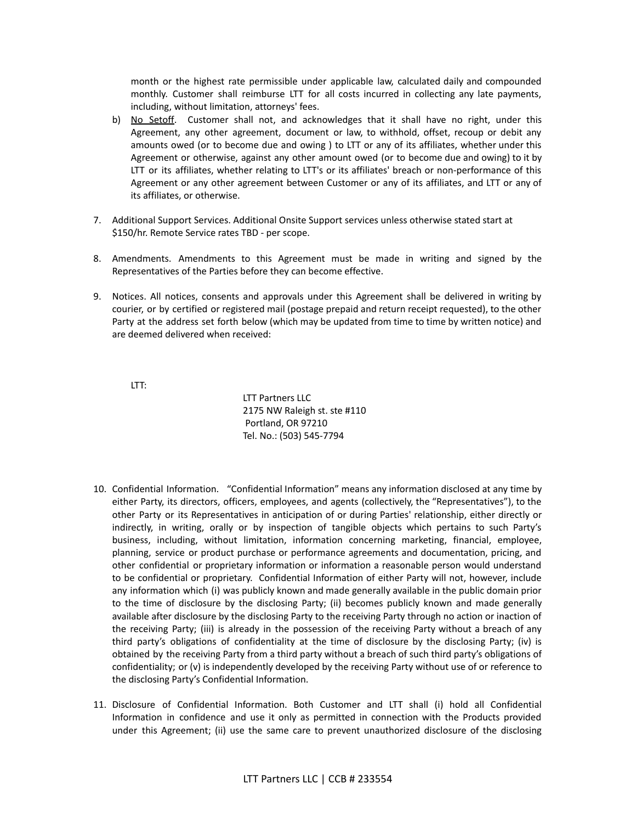month or the highest rate permissible under applicable law, calculated daily and compounded monthly. Customer shall reimburse LTT for all costs incurred in collecting any late payments, including, without limitation, attorneys' fees.

- b) No Setoff. Customer shall not, and acknowledges that it shall have no right, under this Agreement, any other agreement, document or law, to withhold, offset, recoup or debit any amounts owed (or to become due and owing ) to LTT or any of its affiliates, whether under this Agreement or otherwise, against any other amount owed (or to become due and owing) to it by LTT or its affiliates, whether relating to LTT's or its affiliates' breach or non-performance of this Agreement or any other agreement between Customer or any of its affiliates, and LTT or any of its affiliates, or otherwise.
- 7. Additional Support Services. Additional Onsite Support services unless otherwise stated start at \$150/hr. Remote Service rates TBD - per scope.
- 8. Amendments. Amendments to this Agreement must be made in writing and signed by the Representatives of the Parties before they can become effective.
- 9. Notices. All notices, consents and approvals under this Agreement shall be delivered in writing by courier, or by certified or registered mail (postage prepaid and return receipt requested), to the other Party at the address set forth below (which may be updated from time to time by written notice) and are deemed delivered when received:

LTT:

LTT Partners LLC 2175 NW Raleigh st. ste #110 Portland, OR 97210 Tel. No.: (503) 545-7794

- 10. Confidential Information. "Confidential Information" means any information disclosed at any time by either Party, its directors, officers, employees, and agents (collectively, the "Representatives"), to the other Party or its Representatives in anticipation of or during Parties' relationship, either directly or indirectly, in writing, orally or by inspection of tangible objects which pertains to such Party's business, including, without limitation, information concerning marketing, financial, employee, planning, service or product purchase or performance agreements and documentation, pricing, and other confidential or proprietary information or information a reasonable person would understand to be confidential or proprietary. Confidential Information of either Party will not, however, include any information which (i) was publicly known and made generally available in the public domain prior to the time of disclosure by the disclosing Party; (ii) becomes publicly known and made generally available after disclosure by the disclosing Party to the receiving Party through no action or inaction of the receiving Party; (iii) is already in the possession of the receiving Party without a breach of any third party's obligations of confidentiality at the time of disclosure by the disclosing Party; (iv) is obtained by the receiving Party from a third party without a breach of such third party's obligations of confidentiality; or (v) is independently developed by the receiving Party without use of or reference to the disclosing Party's Confidential Information.
- 11. Disclosure of Confidential Information. Both Customer and LTT shall (i) hold all Confidential Information in confidence and use it only as permitted in connection with the Products provided under this Agreement; (ii) use the same care to prevent unauthorized disclosure of the disclosing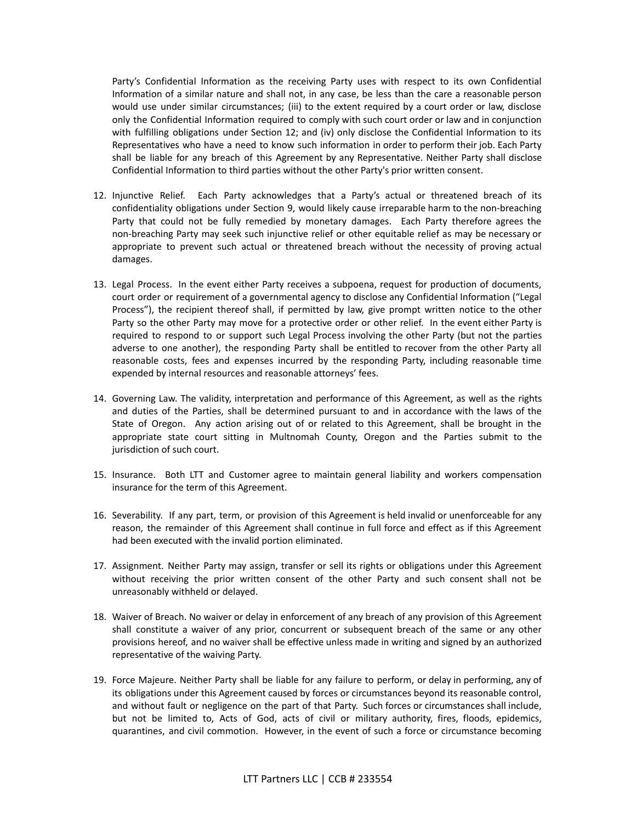Party's Confidential Information as the receiving Party uses with respect to its own Confidential Information of a similar nature and shall not, in any case, be less than the care a reasonable person would use under similar circumstances; (iii) to the extent required by a court order or law, disclose only the Confidential Information required to comply with such court order or law and in conjunction with fulfilling obligations under Section 12; and (iv) only disclose the Confidential Information to its Representatives who have a need to know such information in order to perform their job. Each Party shall be liable for any breach of this Agreement by any Representative. Neither Party shall disclose Confidential Information to third parties without the other Party's prior written consent.

- 12. Injunctive Relief. Each Party acknowledges that a Party's actual or threatened breach of its confidentiality obligations under Section 9, would likely cause irreparable harm to the non-breaching Party that could not be fully remedied by monetary damages. Each Party therefore agrees the non-breaching Party may seek such injunctive relief or other equitable relief as may be necessary or appropriate to prevent such actual or threatened breach without the necessity of proving actual damages.
- 13. Legal Process. In the event either Party receives a subpoena, request for production of documents, court order or requirement of a governmental agency to disclose any Confidential Information ("Legal Process"), the recipient thereof shall, if permitted by law, give prompt written notice to the other Party so the other Party may move for a protective order or other relief. In the event either Party is required to respond to or support such Legal Process involving the other Party (but not the parties adverse to one another), the responding Party shall be entitled to recover from the other Party all reasonable costs, fees and expenses incurred by the responding Party, including reasonable time expended by internal resources and reasonable attorneys' fees.
- 14. Governing Law. The validity, interpretation and performance of this Agreement, as well as the rights and duties of the Parties, shall be determined pursuant to and in accordance with the laws of the State of Oregon. Any action arising out of or related to this Agreement, shall be brought in the appropriate state court sitting in Multnomah County, Oregon and the Parties submit to the jurisdiction of such court.
- 15. Insurance. Both LTT and Customer agree to maintain general liability and workers compensation insurance for the term of this Agreement.
- 16. Severability. If any part, term, or provision of this Agreement is held invalid or unenforceable for any reason, the remainder of this Agreement shall continue in full force and effect as if this Agreement had been executed with the invalid portion eliminated.
- 17. Assignment. Neither Party may assign, transfer or sell its rights or obligations under this Agreement without receiving the prior written consent of the other Party and such consent shall not be unreasonably withheld or delayed.
- 18. Waiver of Breach. No waiver or delay in enforcement of any breach of any provision of this Agreement shall constitute a waiver of any prior, concurrent or subsequent breach of the same or any other provisions hereof, and no waiver shall be effective unless made in writing and signed by an authorized representative of the waiving Party.
- 19. Force Majeure. Neither Party shall be liable for any failure to perform, or delay in performing, any of its obligations under this Agreement caused by forces or circumstances beyond its reasonable control, and without fault or negligence on the part of that Party. Such forces or circumstances shall include, but not be limited to, Acts of God, acts of civil or military authority, fires, floods, epidemics, quarantines, and civil commotion. However, in the event of such a force or circumstance becoming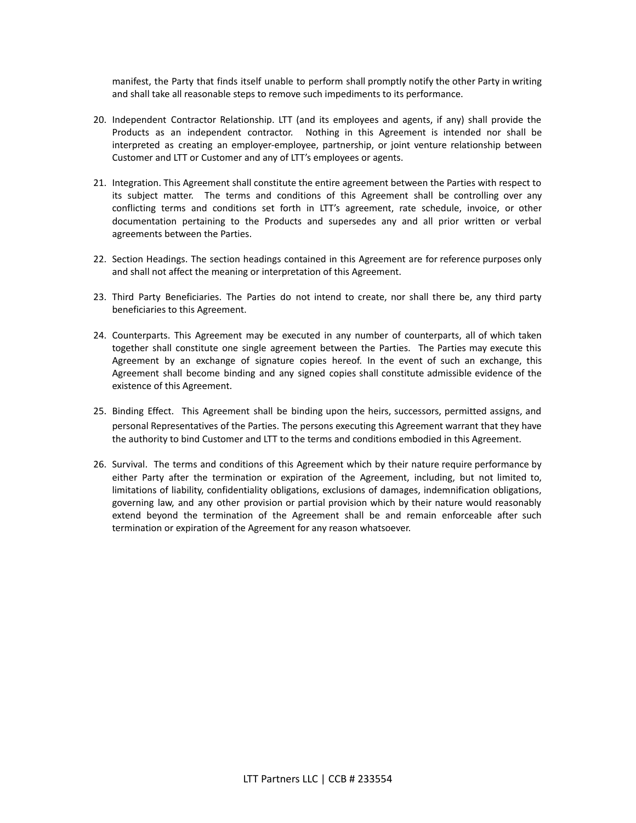manifest, the Party that finds itself unable to perform shall promptly notify the other Party in writing and shall take all reasonable steps to remove such impediments to its performance.

- 20. Independent Contractor Relationship. LTT (and its employees and agents, if any) shall provide the Products as an independent contractor. Nothing in this Agreement is intended nor shall be interpreted as creating an employer-employee, partnership, or joint venture relationship between Customer and LTT or Customer and any of LTT's employees or agents.
- 21. Integration. This Agreement shall constitute the entire agreement between the Parties with respect to its subject matter. The terms and conditions of this Agreement shall be controlling over any conflicting terms and conditions set forth in LTT's agreement, rate schedule, invoice, or other documentation pertaining to the Products and supersedes any and all prior written or verbal agreements between the Parties.
- 22. Section Headings. The section headings contained in this Agreement are for reference purposes only and shall not affect the meaning or interpretation of this Agreement.
- 23. Third Party Beneficiaries. The Parties do not intend to create, nor shall there be, any third party beneficiaries to this Agreement.
- 24. Counterparts. This Agreement may be executed in any number of counterparts, all of which taken together shall constitute one single agreement between the Parties. The Parties may execute this Agreement by an exchange of signature copies hereof. In the event of such an exchange, this Agreement shall become binding and any signed copies shall constitute admissible evidence of the existence of this Agreement.
- 25. Binding Effect. This Agreement shall be binding upon the heirs, successors, permitted assigns, and personal Representatives of the Parties. The persons executing this Agreement warrant that they have the authority to bind Customer and LTT to the terms and conditions embodied in this Agreement.
- 26. Survival. The terms and conditions of this Agreement which by their nature require performance by either Party after the termination or expiration of the Agreement, including, but not limited to, limitations of liability, confidentiality obligations, exclusions of damages, indemnification obligations, governing law, and any other provision or partial provision which by their nature would reasonably extend beyond the termination of the Agreement shall be and remain enforceable after such termination or expiration of the Agreement for any reason whatsoever.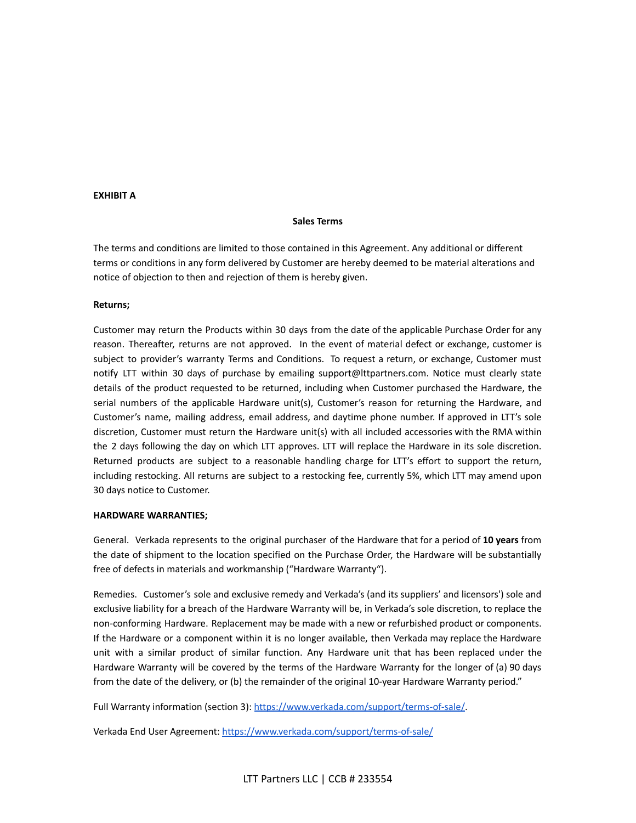# **EXHIBIT A**

# **Sales Terms**

The terms and conditions are limited to those contained in this Agreement. Any additional or different terms or conditions in any form delivered by Customer are hereby deemed to be material alterations and notice of objection to then and rejection of them is hereby given.

## **Returns;**

Customer may return the Products within 30 days from the date of the applicable Purchase Order for any reason. Thereafter, returns are not approved. In the event of material defect or exchange, customer is subject to provider's warranty Terms and Conditions. To request a return, or exchange, Customer must notify LTT within 30 days of purchase by emailing support@lttpartners.com. Notice must clearly state details of the product requested to be returned, including when Customer purchased the Hardware, the serial numbers of the applicable Hardware unit(s), Customer's reason for returning the Hardware, and Customer's name, mailing address, email address, and daytime phone number. If approved in LTT's sole discretion, Customer must return the Hardware unit(s) with all included accessories with the RMA within the 2 days following the day on which LTT approves. LTT will replace the Hardware in its sole discretion. Returned products are subject to a reasonable handling charge for LTT's effort to support the return, including restocking. All returns are subject to a restocking fee, currently 5%, which LTT may amend upon 30 days notice to Customer.

#### **HARDWARE WARRANTIES;**

General. Verkada represents to the original purchaser of the Hardware that for a period of **10 years** from the date of shipment to the location specified on the Purchase Order, the Hardware will be substantially free of defects in materials and workmanship ("Hardware Warranty").

Remedies. Customer's sole and exclusive remedy and Verkada's (and its suppliers' and licensors') sole and exclusive liability for a breach of the Hardware Warranty will be, in Verkada's sole discretion, to replace the non-conforming Hardware. Replacement may be made with a new or refurbished product or components. If the Hardware or a component within it is no longer available, then Verkada may replace the Hardware unit with a similar product of similar function. Any Hardware unit that has been replaced under the Hardware Warranty will be covered by the terms of the Hardware Warranty for the longer of (a) 90 days from the date of the delivery, or (b) the remainder of the original 10-year Hardware Warranty period."

Full Warranty information (section 3): [https://www.verkada.com/support/terms-of-sale/.](https://www.verkada.com/support/terms-of-sale/)

Verkada End User Agreement: <https://www.verkada.com/support/terms-of-sale/>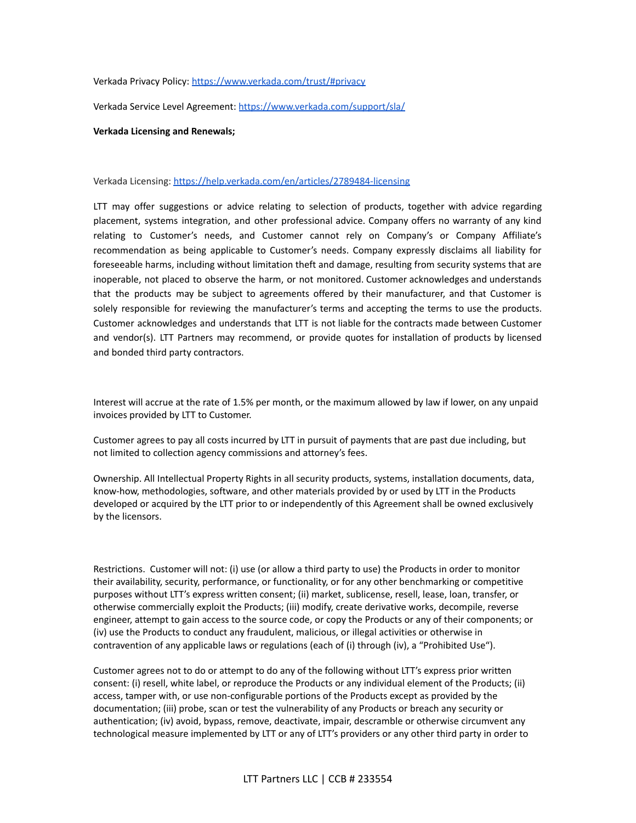# Verkada Privacy Policy: <https://www.verkada.com/trust/#privacy>

Verkada Service Level Agreement: <https://www.verkada.com/support/sla/>

## **Verkada Licensing and Renewals;**

## Verkada Licensing: <https://help.verkada.com/en/articles/2789484-licensing>

LTT may offer suggestions or advice relating to selection of products, together with advice regarding placement, systems integration, and other professional advice. Company offers no warranty of any kind relating to Customer's needs, and Customer cannot rely on Company's or Company Affiliate's recommendation as being applicable to Customer's needs. Company expressly disclaims all liability for foreseeable harms, including without limitation theft and damage, resulting from security systems that are inoperable, not placed to observe the harm, or not monitored. Customer acknowledges and understands that the products may be subject to agreements offered by their manufacturer, and that Customer is solely responsible for reviewing the manufacturer's terms and accepting the terms to use the products. Customer acknowledges and understands that LTT is not liable for the contracts made between Customer and vendor(s). LTT Partners may recommend, or provide quotes for installation of products by licensed and bonded third party contractors.

Interest will accrue at the rate of 1.5% per month, or the maximum allowed by law if lower, on any unpaid invoices provided by LTT to Customer.

Customer agrees to pay all costs incurred by LTT in pursuit of payments that are past due including, but not limited to collection agency commissions and attorney's fees.

Ownership. All Intellectual Property Rights in all security products, systems, installation documents, data, know-how, methodologies, software, and other materials provided by or used by LTT in the Products developed or acquired by the LTT prior to or independently of this Agreement shall be owned exclusively by the licensors.

Restrictions. Customer will not: (i) use (or allow a third party to use) the Products in order to monitor their availability, security, performance, or functionality, or for any other benchmarking or competitive purposes without LTT's express written consent; (ii) market, sublicense, resell, lease, loan, transfer, or otherwise commercially exploit the Products; (iii) modify, create derivative works, decompile, reverse engineer, attempt to gain access to the source code, or copy the Products or any of their components; or (iv) use the Products to conduct any fraudulent, malicious, or illegal activities or otherwise in contravention of any applicable laws or regulations (each of (i) through (iv), a "Prohibited Use").

Customer agrees not to do or attempt to do any of the following without LTT's express prior written consent: (i) resell, white label, or reproduce the Products or any individual element of the Products; (ii) access, tamper with, or use non-configurable portions of the Products except as provided by the documentation; (iii) probe, scan or test the vulnerability of any Products or breach any security or authentication; (iv) avoid, bypass, remove, deactivate, impair, descramble or otherwise circumvent any technological measure implemented by LTT or any of LTT's providers or any other third party in order to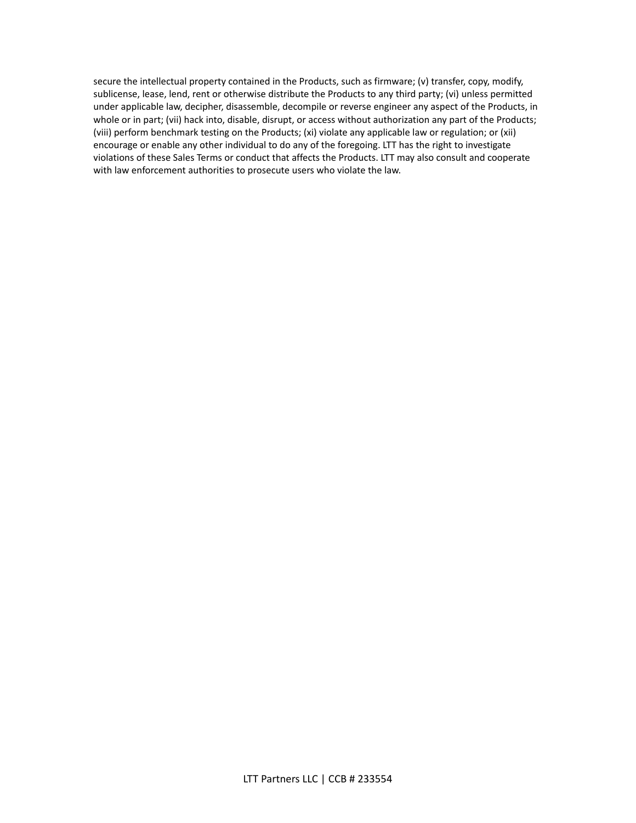secure the intellectual property contained in the Products, such as firmware; (v) transfer, copy, modify, sublicense, lease, lend, rent or otherwise distribute the Products to any third party; (vi) unless permitted under applicable law, decipher, disassemble, decompile or reverse engineer any aspect of the Products, in whole or in part; (vii) hack into, disable, disrupt, or access without authorization any part of the Products; (viii) perform benchmark testing on the Products; (xi) violate any applicable law or regulation; or (xii) encourage or enable any other individual to do any of the foregoing. LTT has the right to investigate violations of these Sales Terms or conduct that affects the Products. LTT may also consult and cooperate with law enforcement authorities to prosecute users who violate the law.